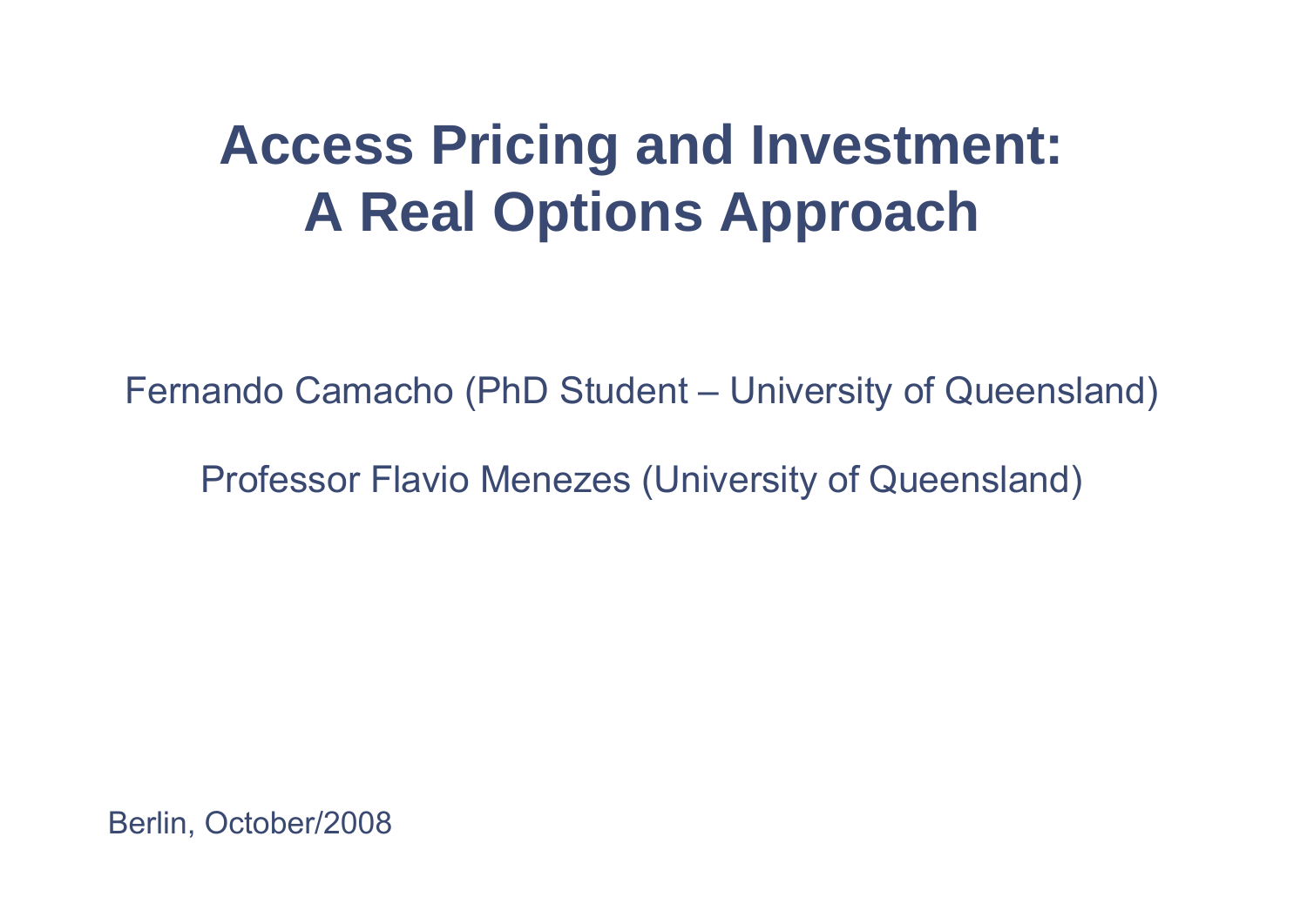# **Access Pricing and Investment: A Real Options Approach**

Fernando Camacho (PhD Student – University of Queensland)

Professor Flavio Menezes (University of Queensland)

Berlin, October/2008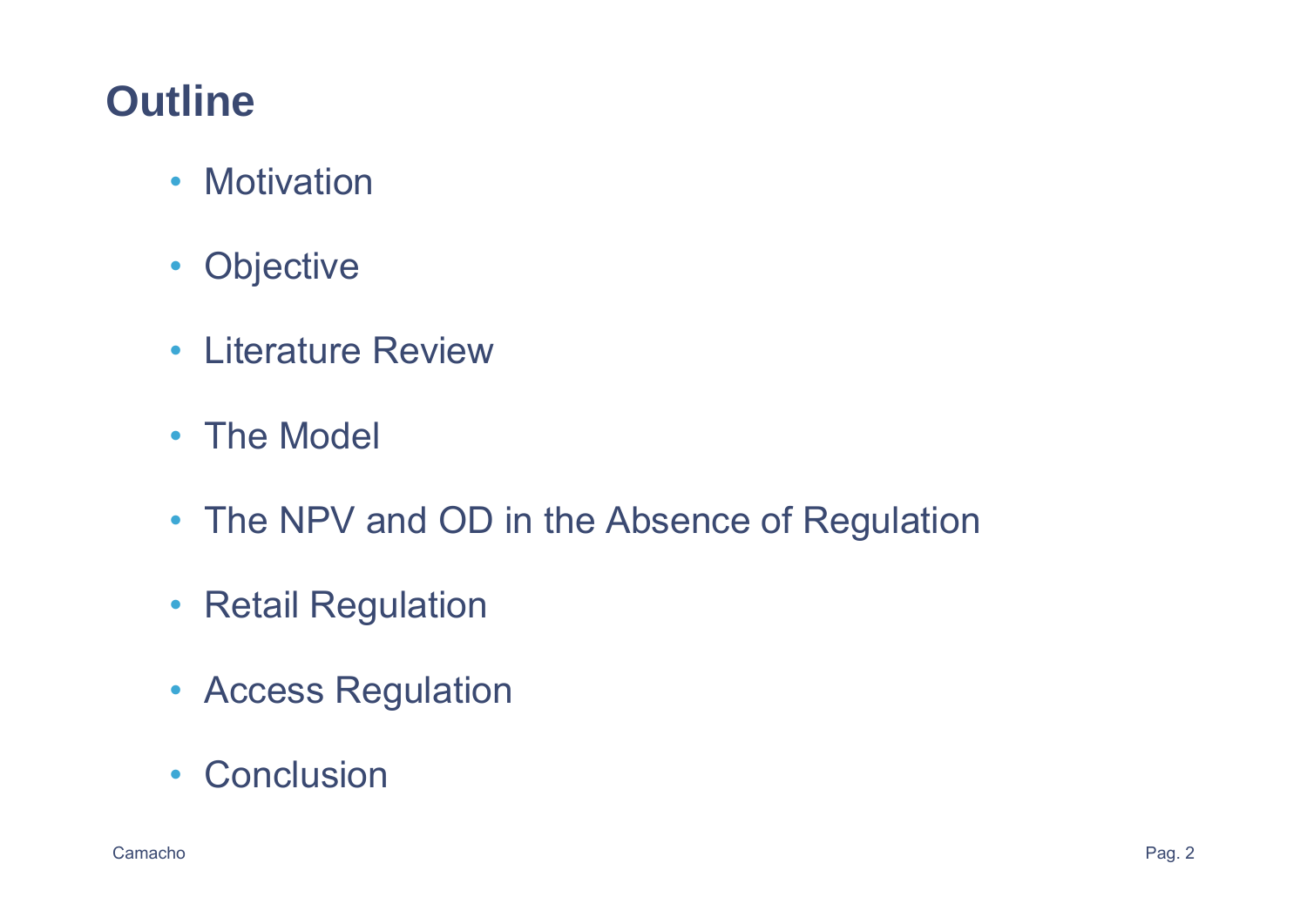# **Outline**

- Motivation
- Objective
- Literature Review
- The Model
- The NPV and OD in the Absence of Regulation
- Retail Regulation
- Access Regulation
- Conclusion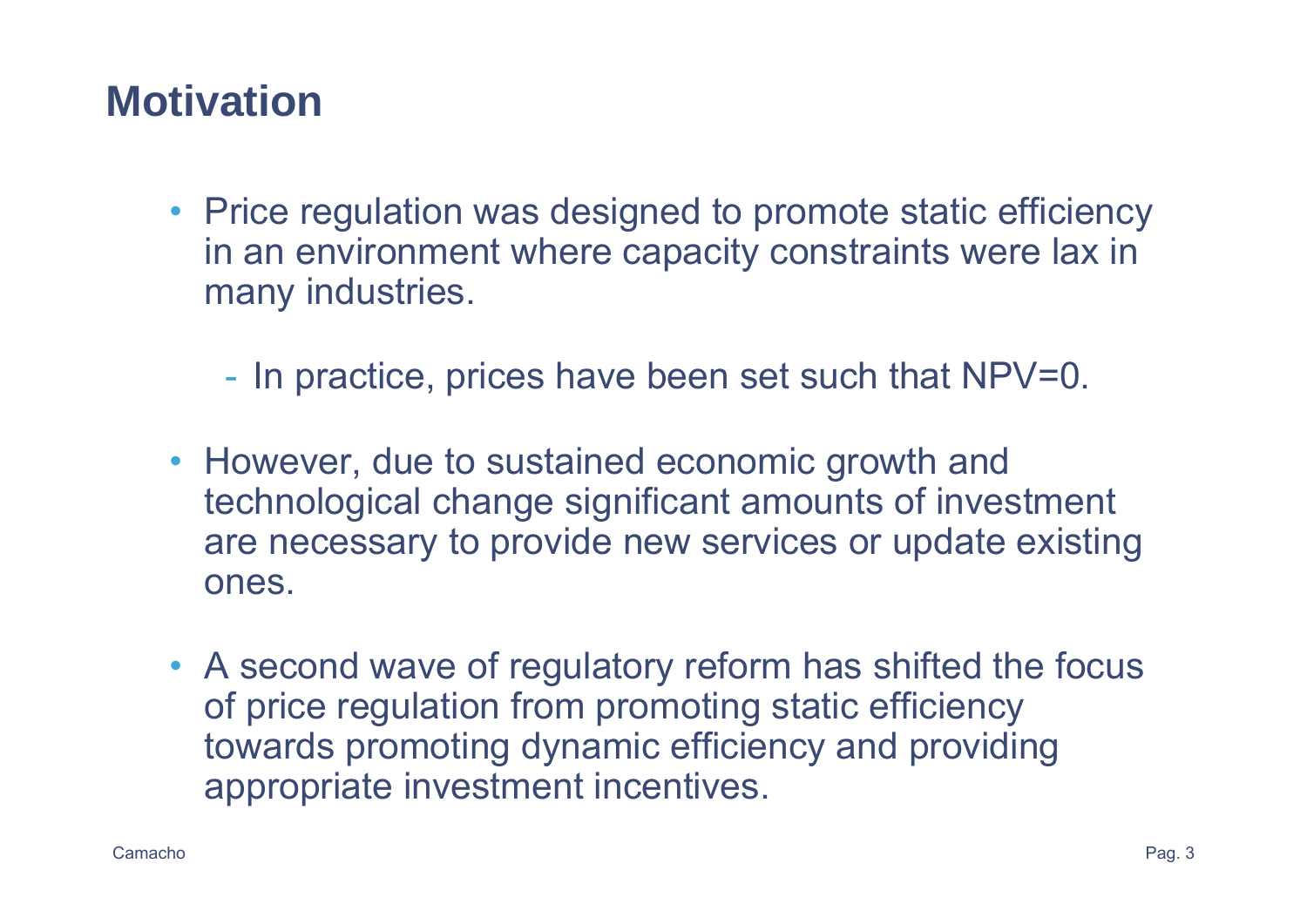# **Motivation**

- Price regulation was designed to promote static efficiency in an environment where capacity constraints were lax in many industries.
	- In practice, prices have been set such that NPV=0.
- However, due to sustained economic growth and technological change significant amounts of investment are necessary to provide new services or update existing ones.
- A second wave of regulatory reform has shifted the focus of price regulation from promoting static efficiency towards promoting dynamic efficiency and providing appropriate investment incentives.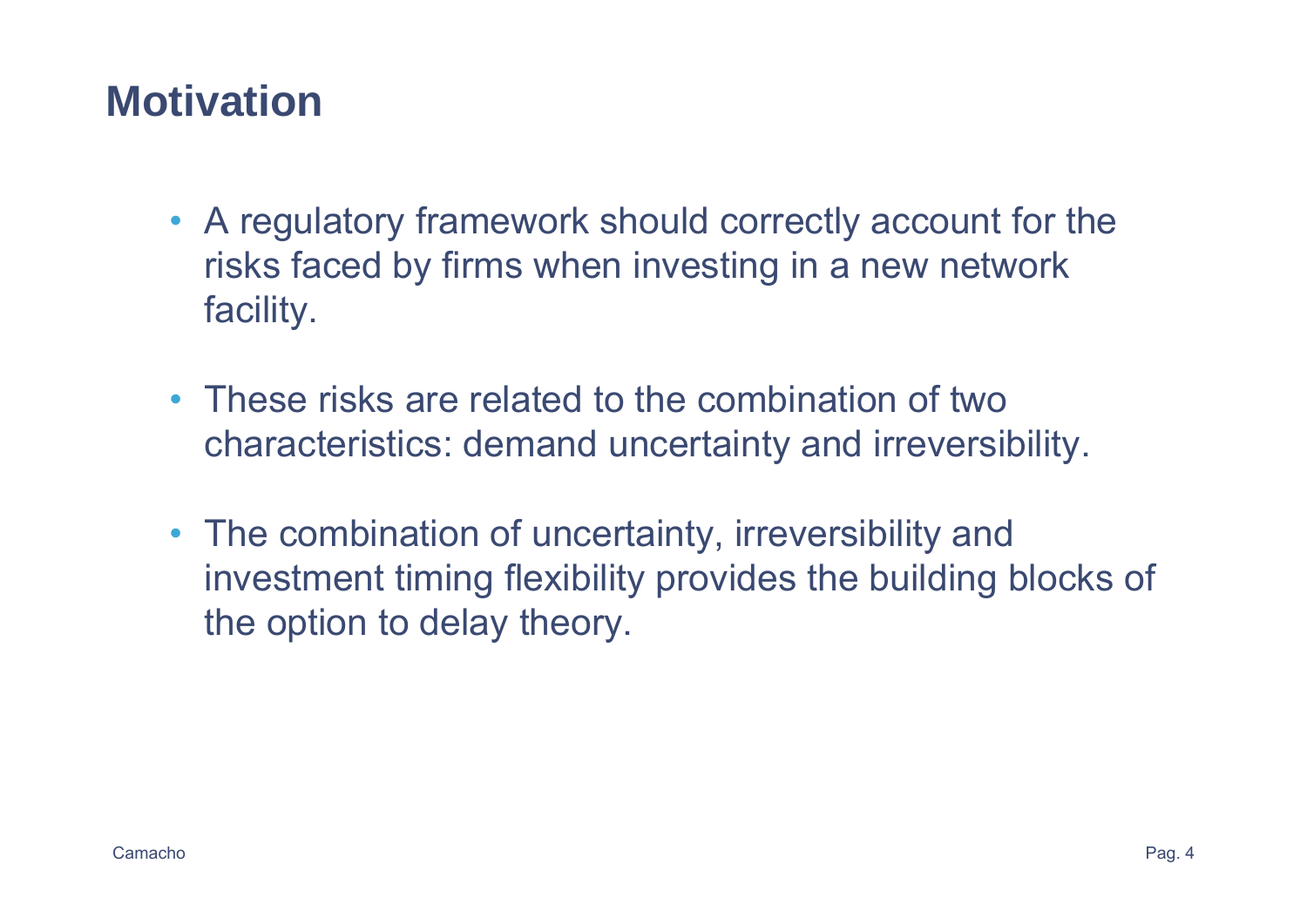# **Motivation**

- A regulatory framework should correctly account for the risks faced by firms when investing in a new network facility.
- These risks are related to the combination of two characteristics: demand uncertainty and irreversibility.
- The combination of uncertainty, irreversibility and investment timing flexibility provides the building blocks of the option to delay theory.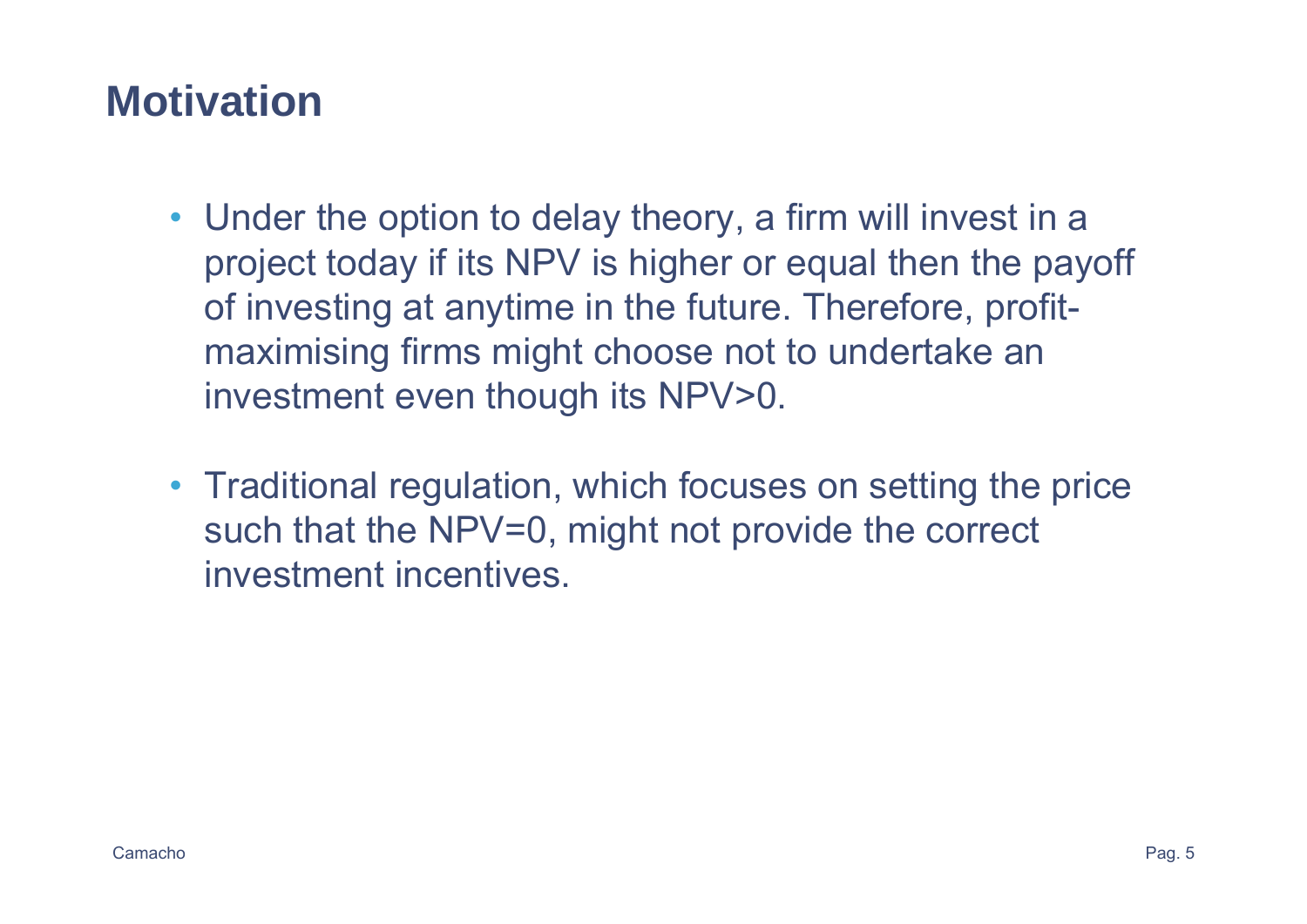# **Motivation**

- Under the option to delay theory, a firm will invest in a project today if its NPV is higher or equal then the payoff of investing at anytime in the future. Therefore, profitmaximising firms might choose not to undertake an investment even though its NPV>0.
- Traditional regulation, which focuses on setting the price such that the NPV=0, might not provide the correct investment incentives.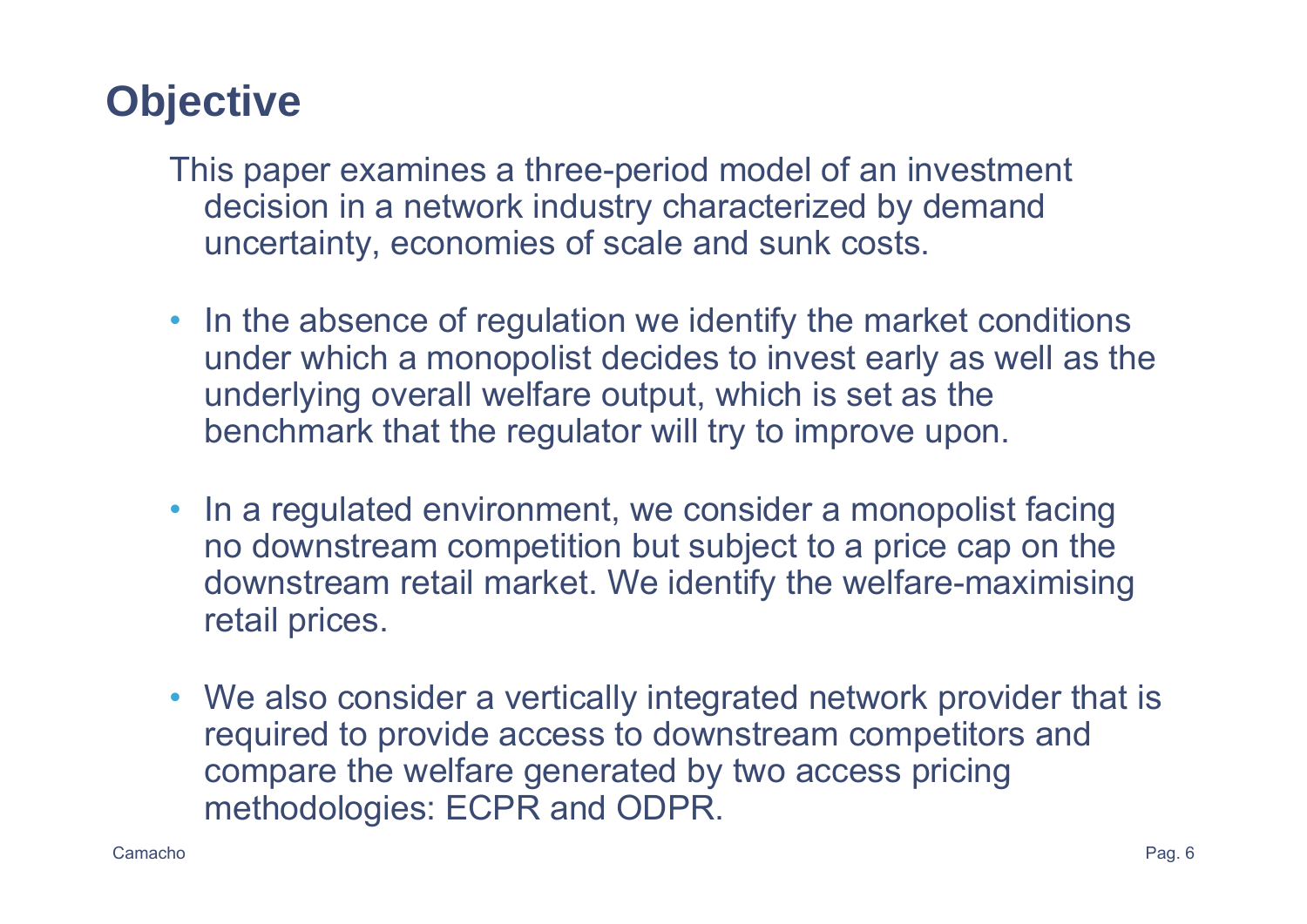# **Objective**

This paper examines a three-period model of an investment decision in a network industry characterized by demand uncertainty, economies of scale and sunk costs.

- In the absence of regulation we identify the market conditions under which a monopolist decides to invest early as well as the underlying overall welfare output, which is set as the benchmark that the regulator will try to improve upon.
- In a regulated environment, we consider a monopolist facing no downstream competition but subject to a price cap on the downstream retail market. We identify the welfare-maximising retail prices.
- We also consider a vertically integrated network provider that is required to provide access to downstream competitors and compare the welfare generated by two access pricing methodologies: ECPR and ODPR.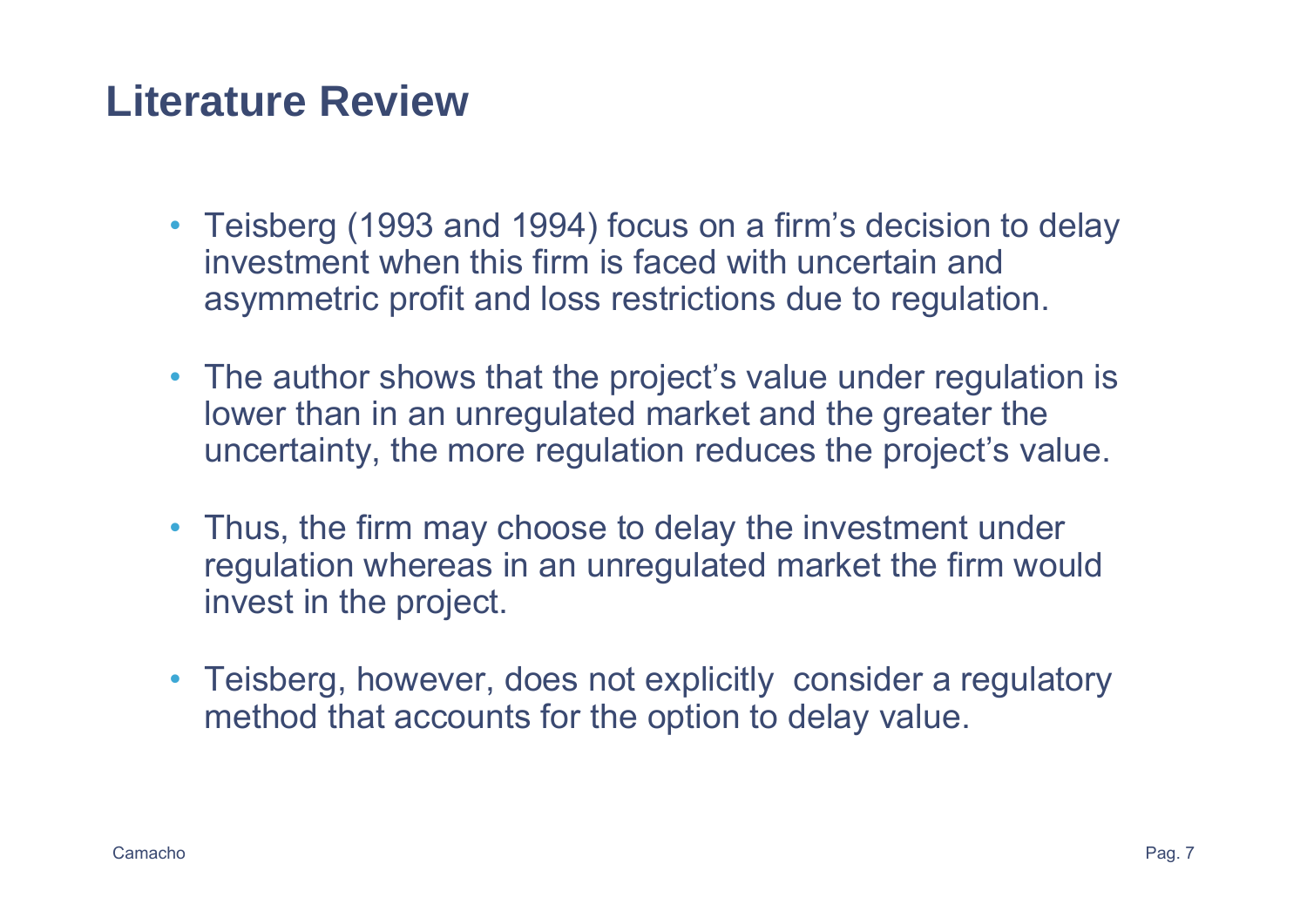### **Literature Review**

- Teisberg (1993 and 1994) focus on a firm's decision to delay investment when this firm is faced with uncertain and asymmetric profit and loss restrictions due to regulation.
- The author shows that the project's value under regulation is lower than in an unregulated market and the greater the uncertainty, the more regulation reduces the project's value.
- Thus, the firm may choose to delay the investment under regulation whereas in an unregulated market the firm would invest in the project.
- Teisberg, however, does not explicitly consider a regulatory method that accounts for the option to delay value.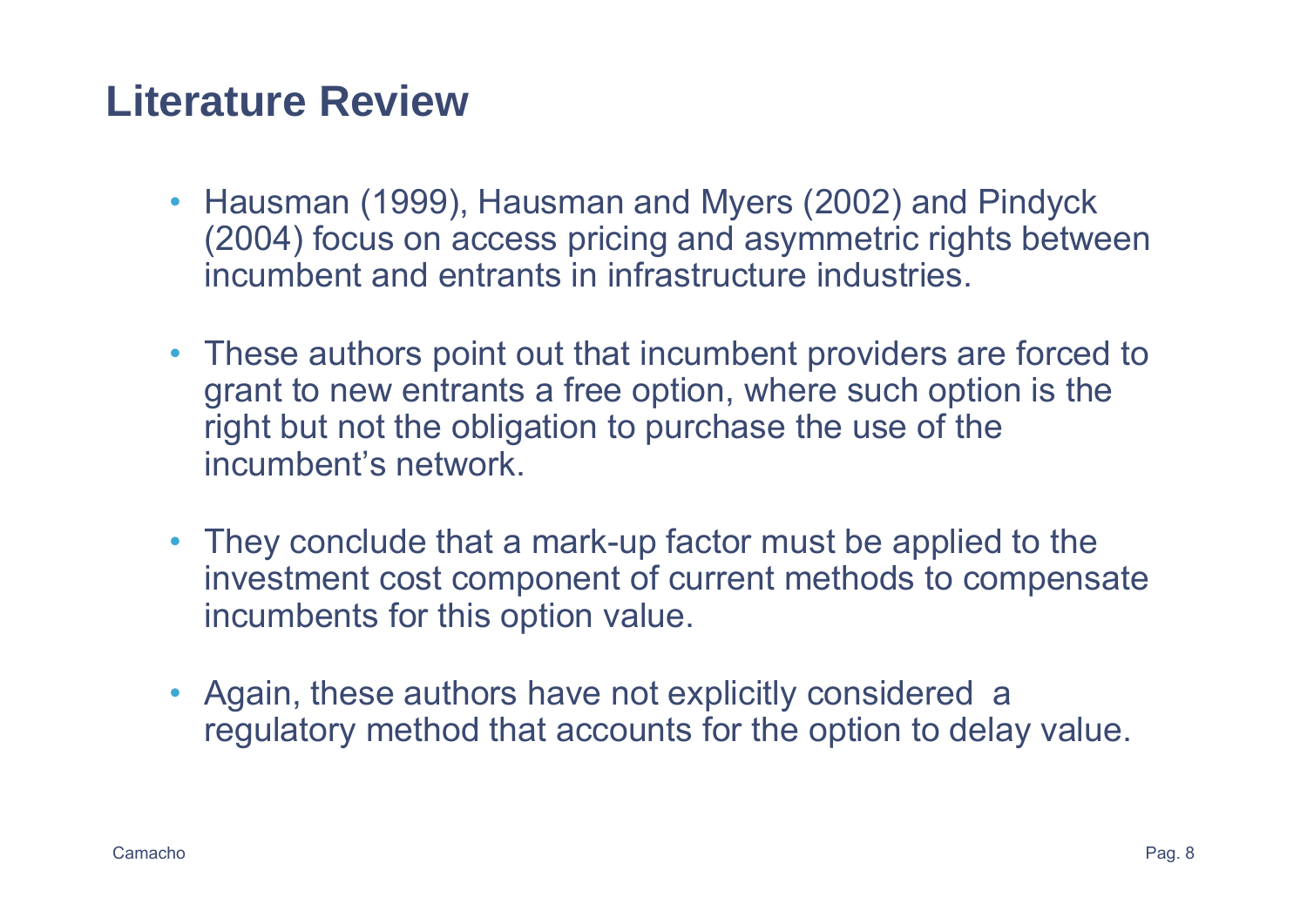#### **Literature Review**

- Hausman (1999), Hausman and Myers (2002) and Pindyck (2004) focus on access pricing and asymmetric rights between incumbent and entrants in infrastructure industries.
- These authors point out that incumbent providers are forced to grant to new entrants a free option, where such option is the right but not the obligation to purchase the use of the incumbent's network.
- They conclude that a mark-up factor must be applied to the investment cost component of current methods to compensate incumbents for this option value.
- Again, these authors have not explicitly considered a regulatory method that accounts for the option to delay value.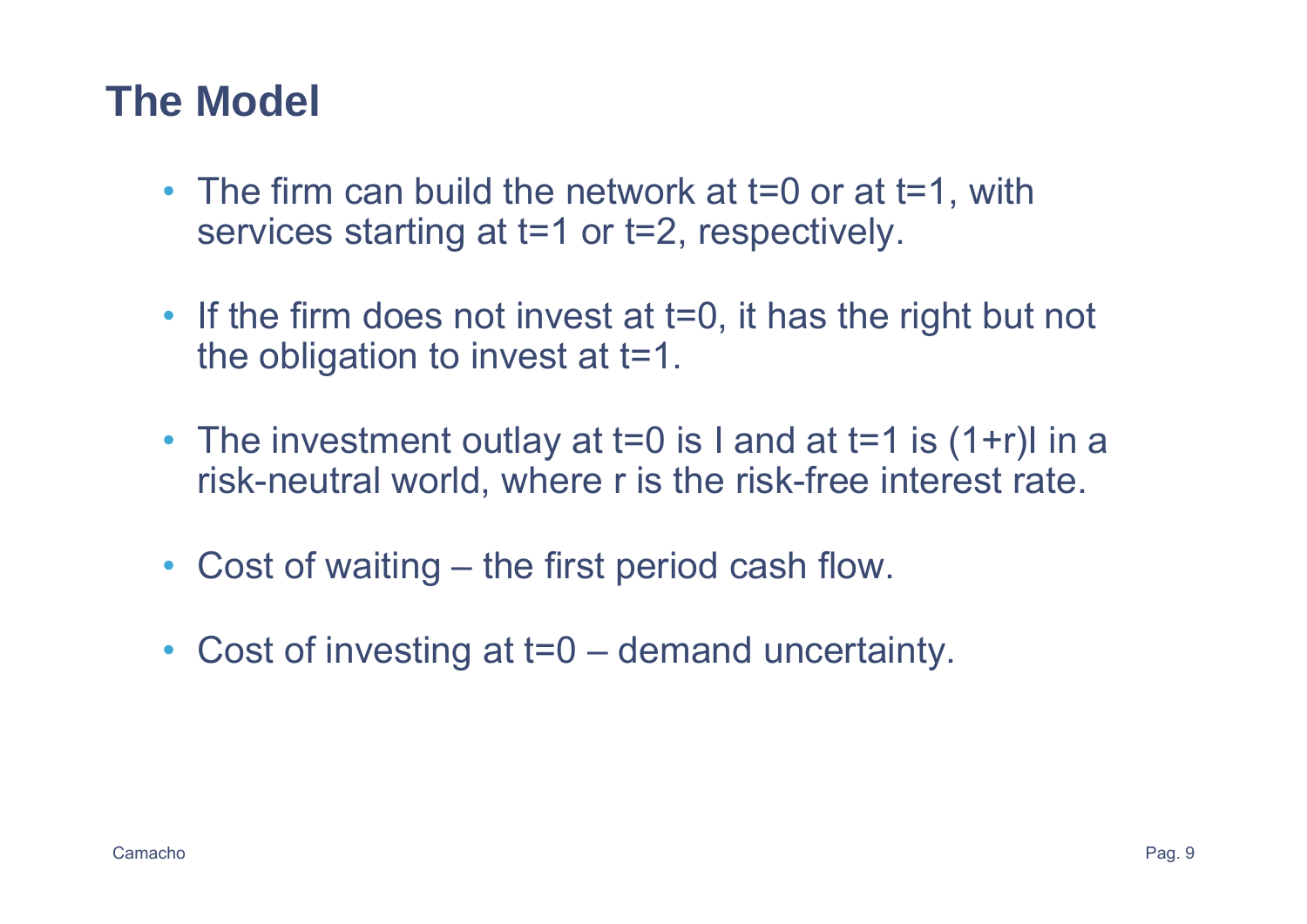### **The Model**

- The firm can build the network at t=0 or at t=1, with services starting at t=1 or t=2, respectively.
- If the firm does not invest at t=0, it has the right but not the obligation to invest at t=1.
- The investment outlay at t=0 is I and at t=1 is (1+r)I in a risk-neutral world, where r is the risk-free interest rate.
- Cost of waiting the first period cash flow.
- Cost of investing at t=0 demand uncertainty.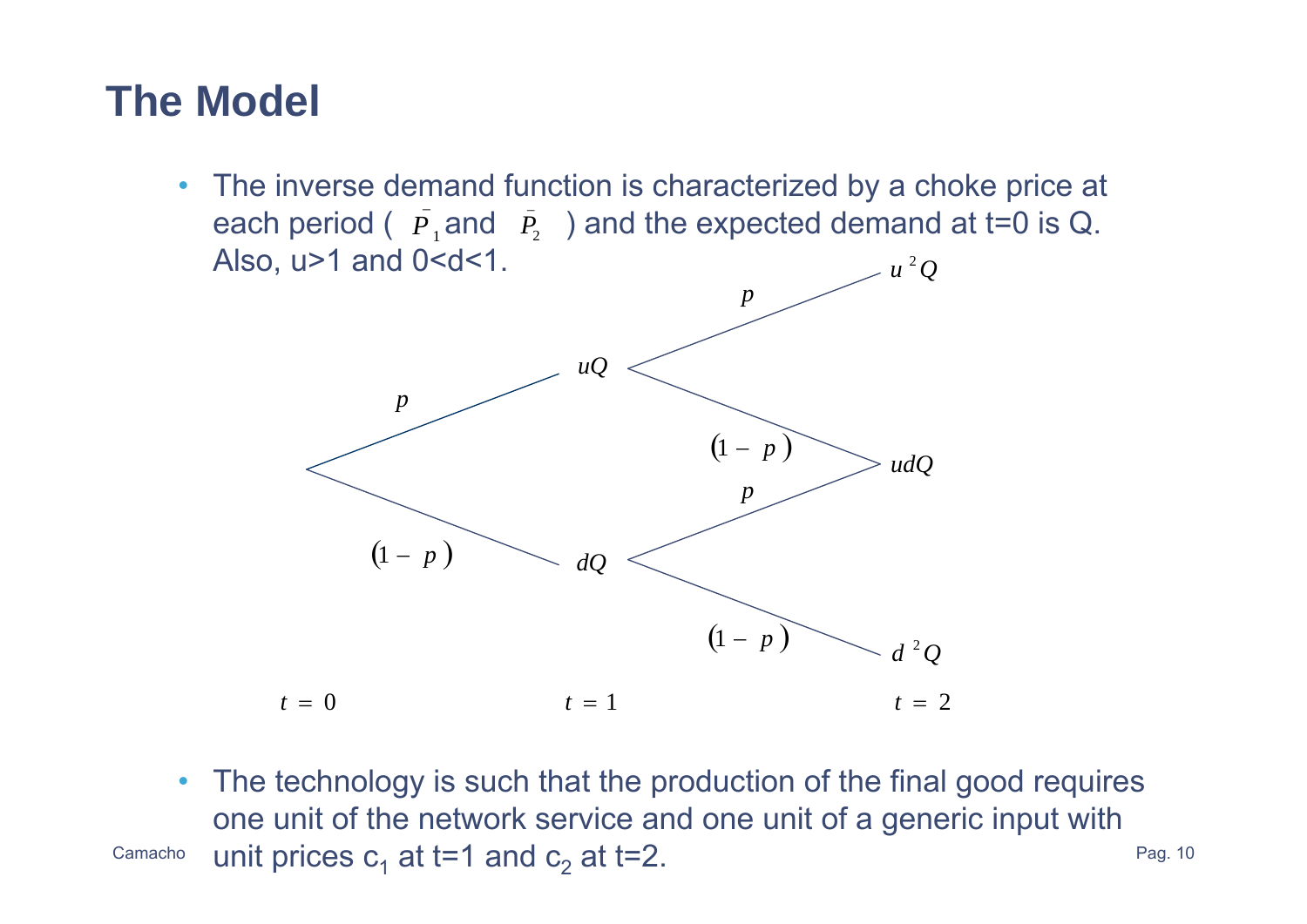# **The Model**

• The inverse demand function is characterized by a choke price at each period (  $\overline{P}_1$  and  $\overline{P}_2$  ) and the expected demand at t=0 is Q. Also,  $u > 1$  and  $0 < d < 1$ .  $u^2Q$ 



Camacho $^{\circ}$  unit prices c<sub>1</sub> at t=1 and c<sub>2</sub> at t=2.  $^{\circ}$  and the set of  $^{Pag.~10}$  $\bullet$  The technology is such that the production of the final good requires one unit of the network service and one unit of a generic input with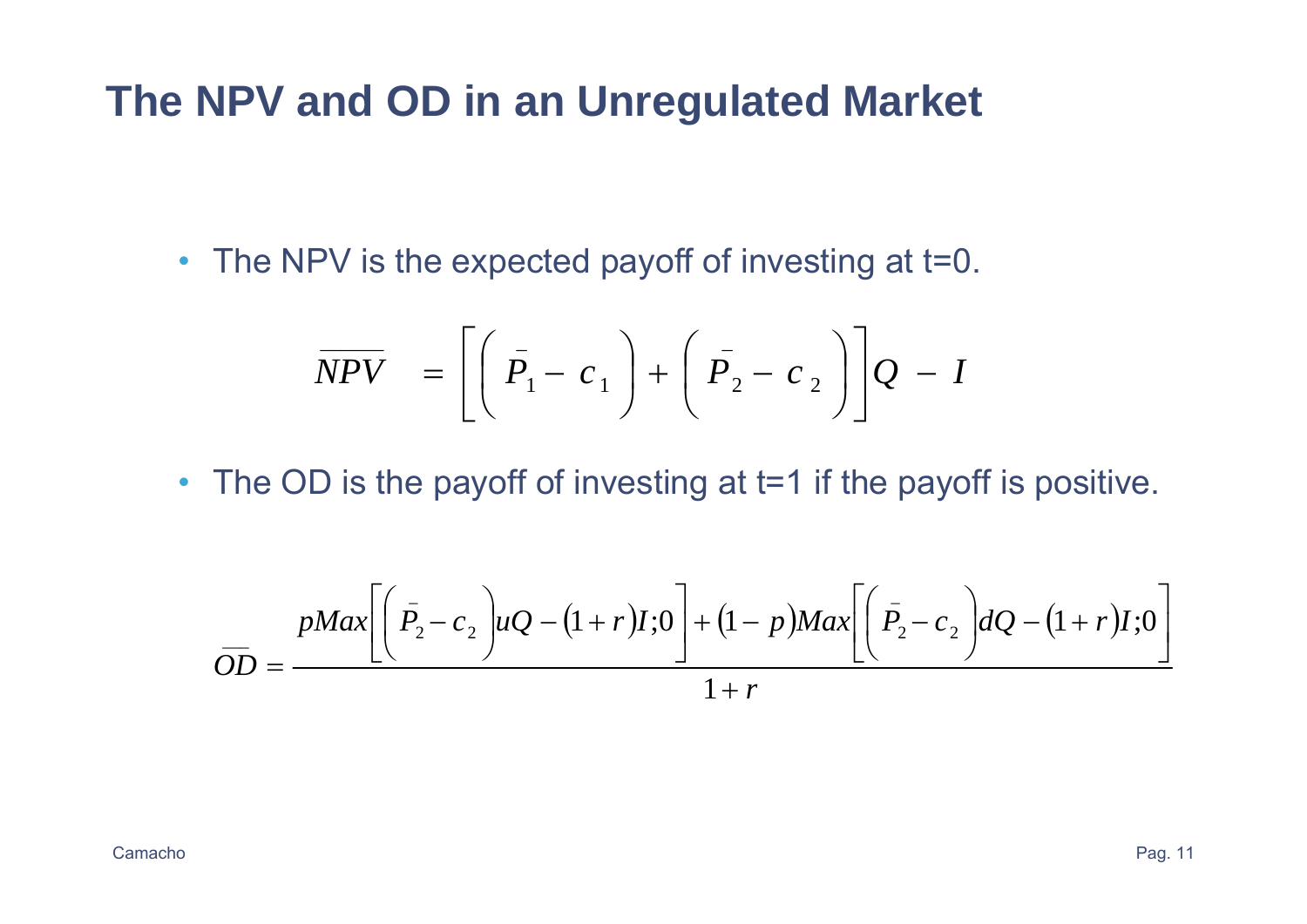• The NPV is the expected payoff of investing at t=0.

$$
\overline{NPV} = \left[ \left( \overline{P}_1 - c_1 \right) + \left( \overline{P}_2 - c_2 \right) \right] Q - I
$$

• The OD is the payoff of investing at t=1 if the payoff is positive.

$$
\overline{OD} = \frac{pMax\left[\left(\overline{P}_2 - c_2\right)uQ - (1+r)I;0\right] + (1-p)Max\left[\left(\overline{P}_2 - c_2\right)dQ - (1+r)I;0\right]}{1+r}
$$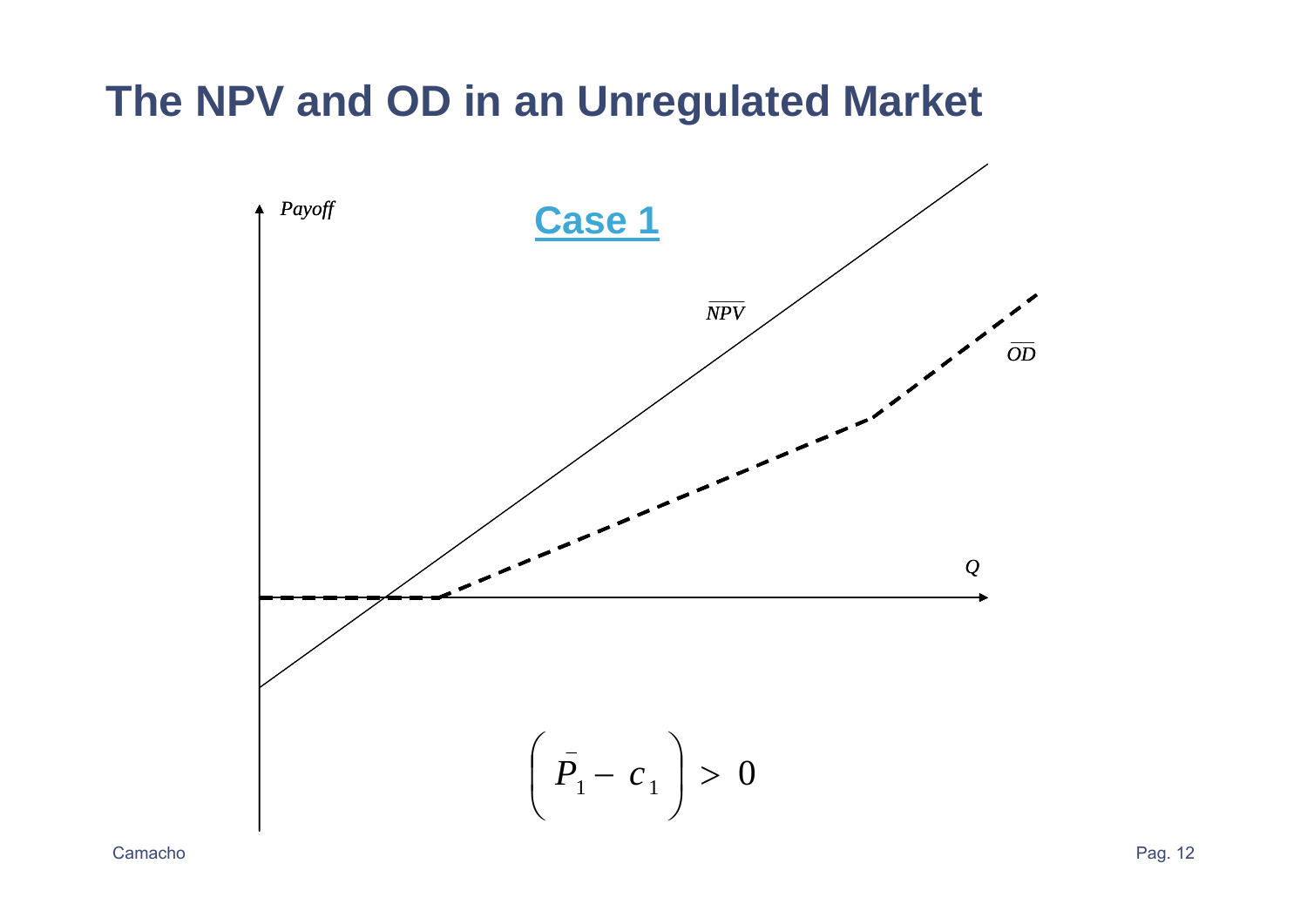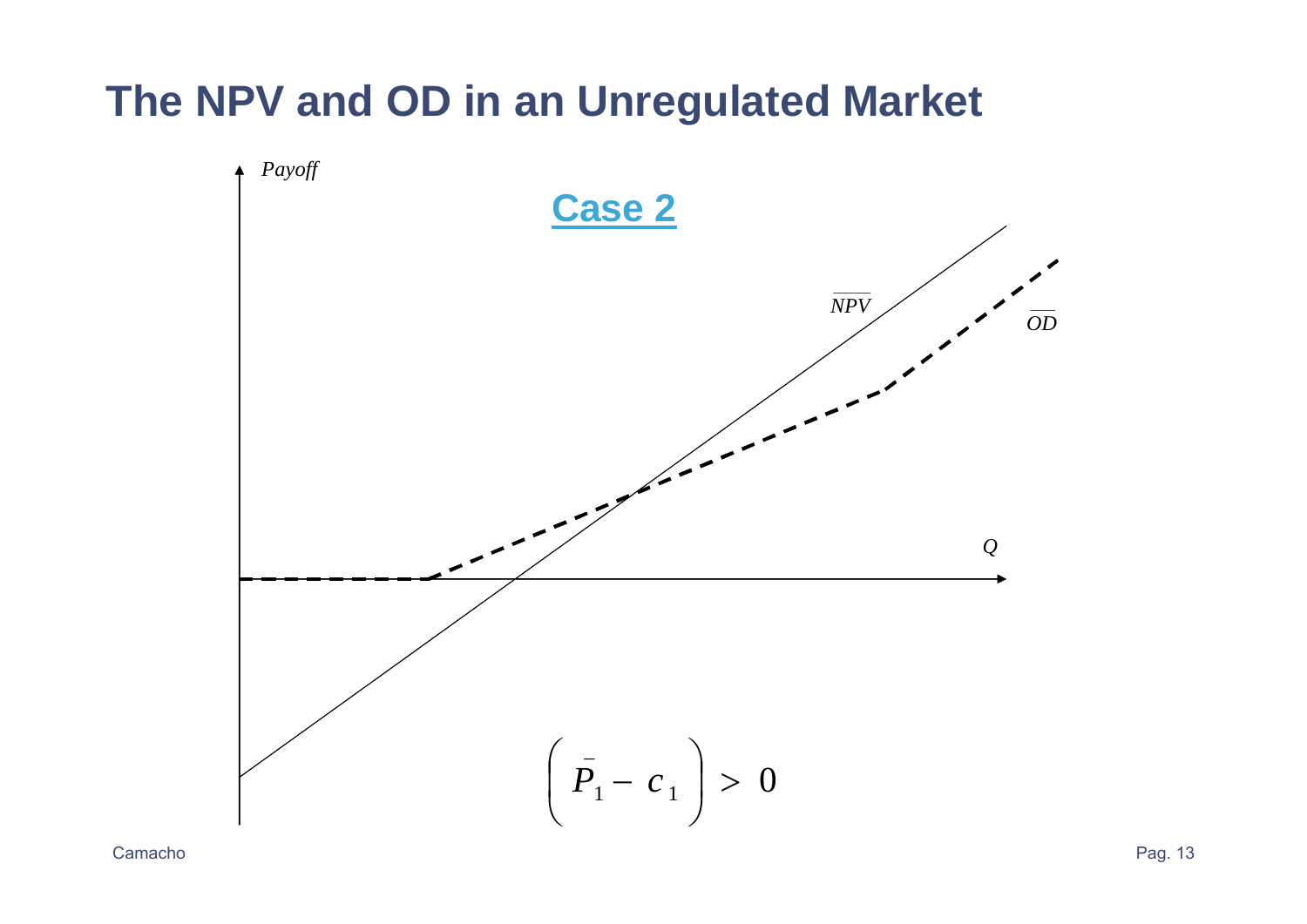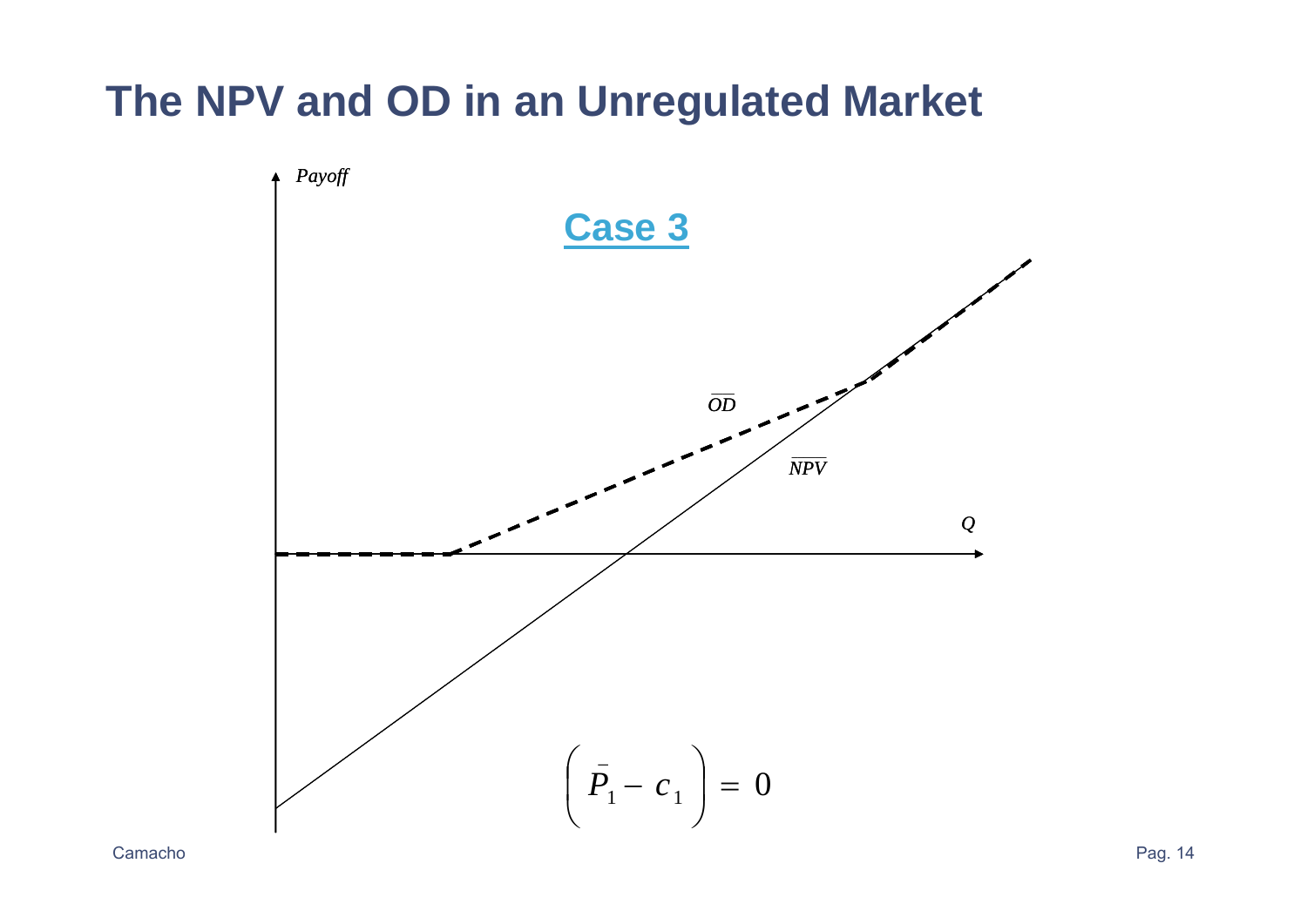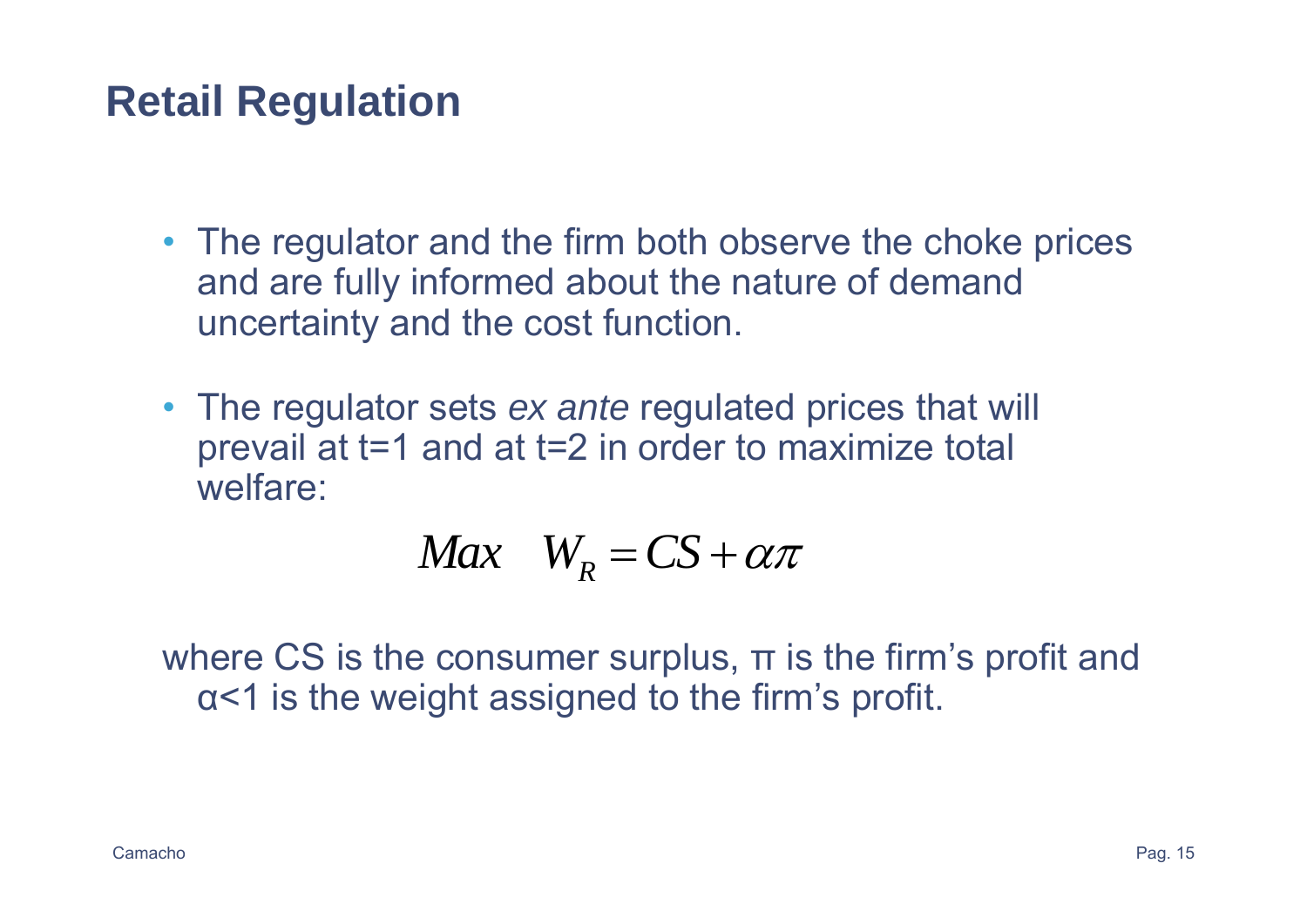# **Retail Regulation**

- The regulator and the firm both observe the choke prices and are fully informed about the nature of demand uncertainty and the cost function.
- The regulator sets *ex ante* regulated prices that will prevail at t=1 and at t=2 in order to maximize total welfare:

$$
Max \quad W_R = CS + \alpha \pi
$$

where CS is the consumer surplus, <sup>π</sup> is the firm's profit and <sup>α</sup><1 is the weight assigned to the firm's profit.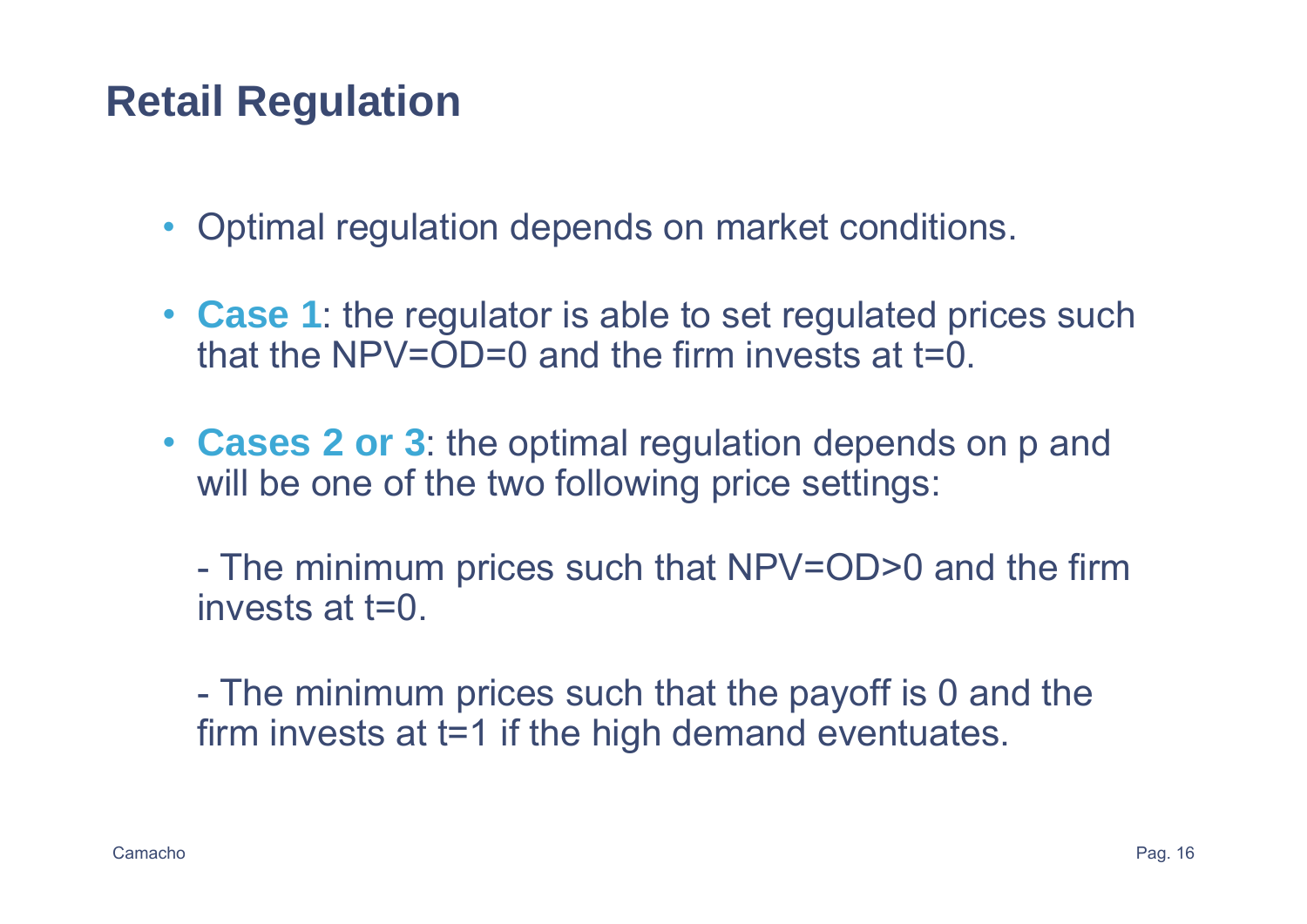# **Retail Regulation**

- Optimal regulation depends on market conditions.
- **Case 1**: the regulator is able to set regulated prices such that the  $NPV=OD=0$  and the firm invests at  $t=0$ .
- **Cases 2 or 3**: the optimal regulation depends on p and will be one of the two following price settings:

- The minimum prices such that NPV=OD>0 and the firm invests at t=0.

- The minimum prices such that the payoff is 0 and the firm invests at t=1 if the high demand eventuates.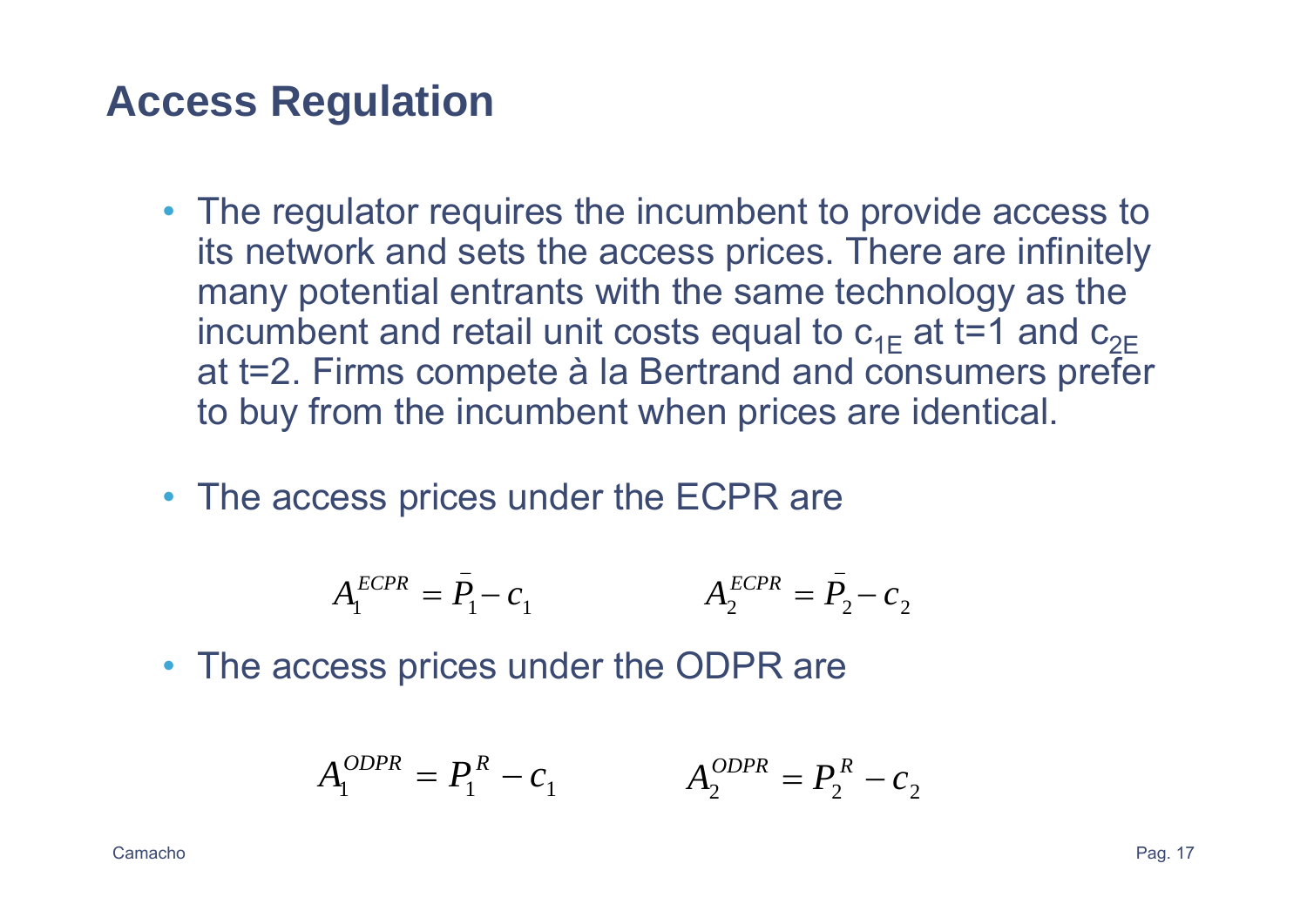#### **Access Regulation**

- The regulator requires the incumbent to provide access to its network and sets the access prices. There are infinitely many potential entrants with the same technology as the incumbent and retail unit costs equal to  $\rm c_{1E}$  at t=1 and  $\rm c_{2E}$ at t=2. Firms compete à la Bertrand and consumers prefer to buy from the incumbent when prices are identical.
- The access prices under the ECPR are

$$
A_1^{ECPR} = \bar{P}_1 - c_1 \qquad A_2^{ECPR} = \bar{P}_2 - c_2
$$

• The access prices under the ODPR are

$$
A_1^{ODPR} = P_1^R - c_1 \qquad A_2^{ODPR} = P_2^R - c_2
$$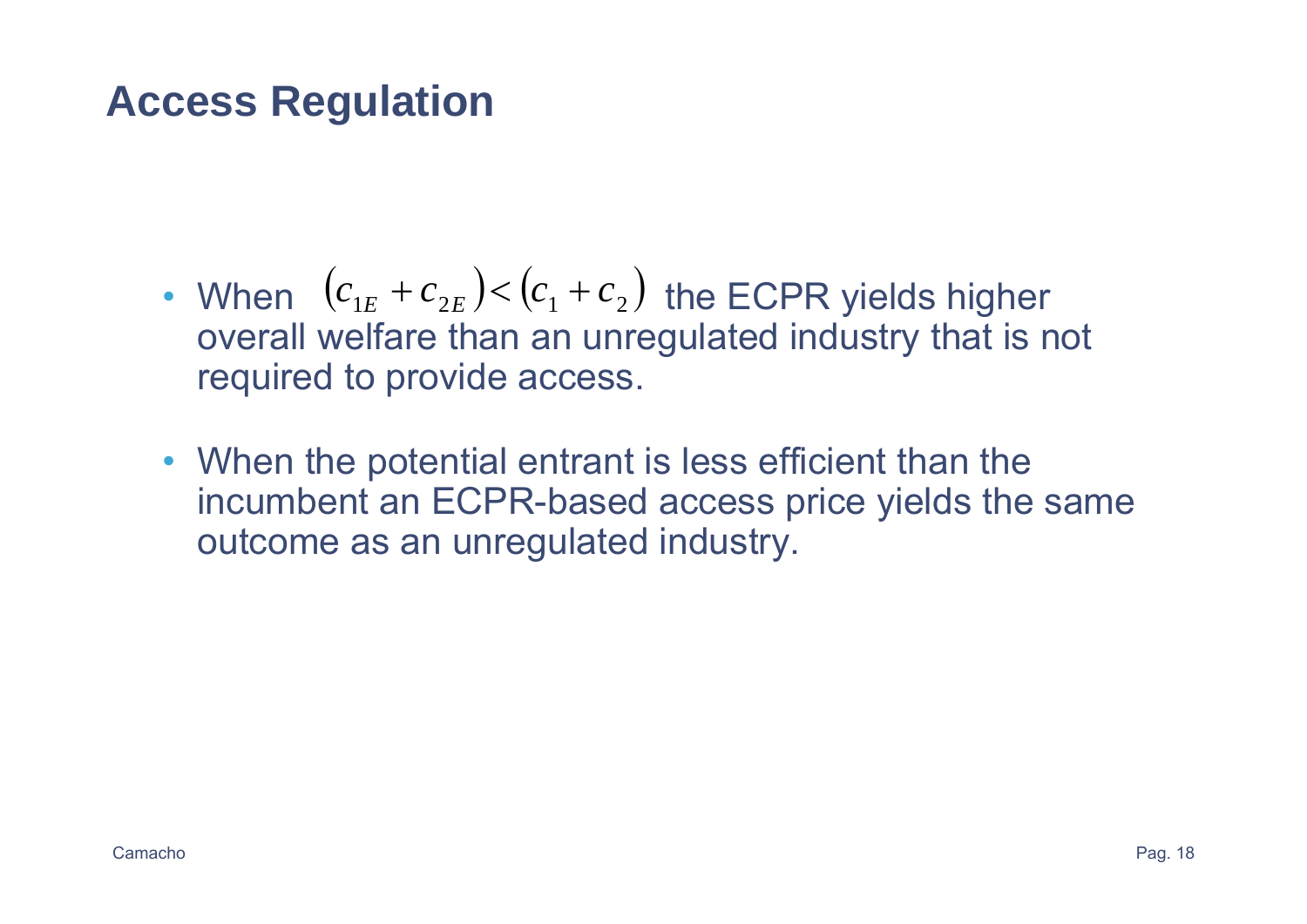### **Access Regulation**

- When  $(c_{1E} + c_{2E}) < (c_1 + c_2)$  the ECPR yields higher overall welfare than an unregulated industry that is not required to provide access.
- When the potential entrant is less efficient than the incumbent an ECPR-based access price yields the same outcome as an unregulated industry.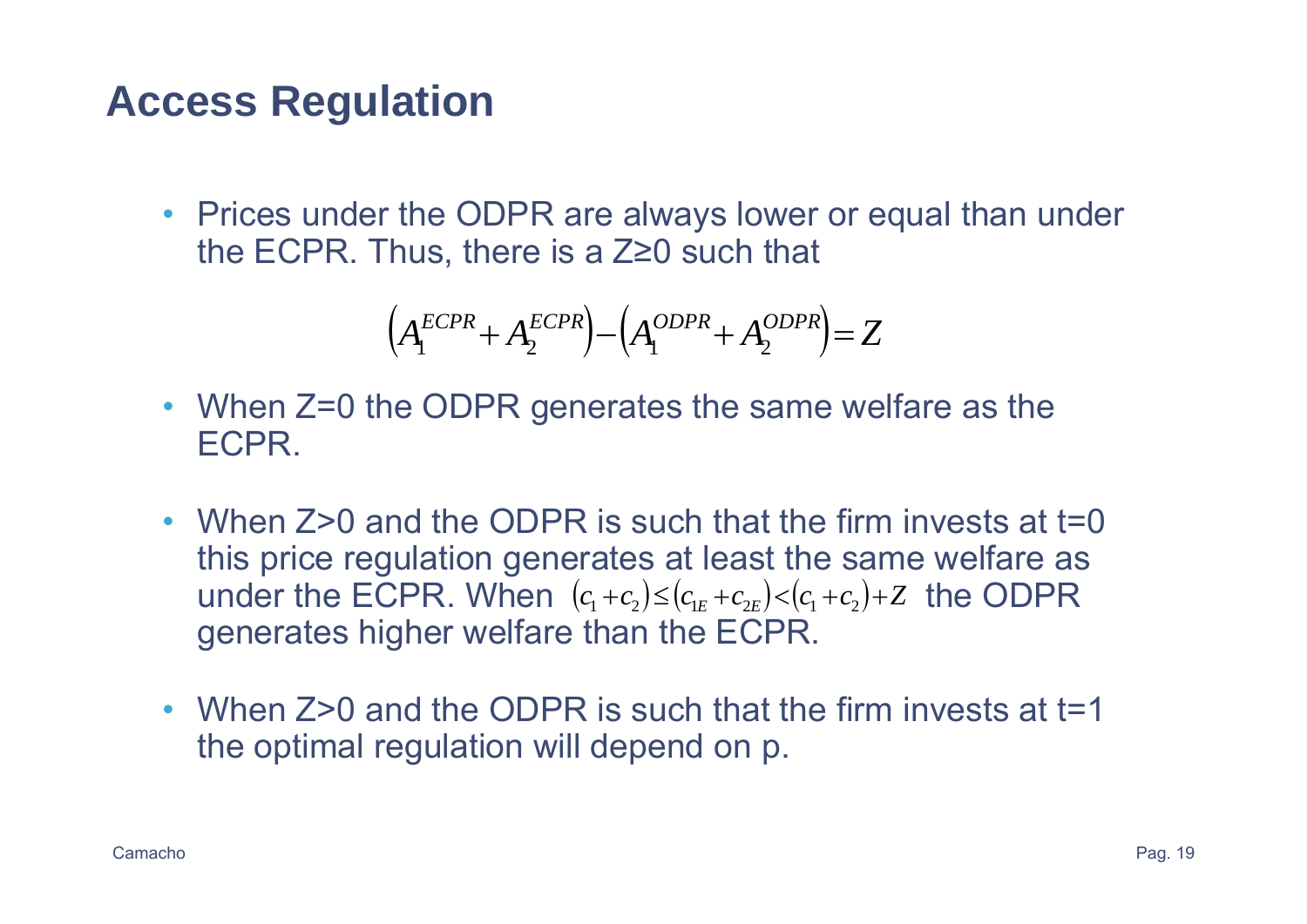## **Access Regulation**

• Prices under the ODPR are always lower or equal than under the ECPR. Thus, there is a Z≥0 such that

$$
\left(A_1^{ECPR} + A_2^{ECPR}\right) - \left(A_1^{ODPR} + A_2^{ODPR}\right) = Z
$$

- When Z=0 the ODPR generates the same welfare as the ECPR.
- When Z>0 and the ODPR is such that the firm invests at t=0 this price regulation generates at least the same welfare as under the ECPR. When  $(c_1 + c_2) \le (c_{1E} + c_{2E}) < (c_1 + c_2) + Z$  the ODPR generates higher welfare than the ECPR.
- When Z>0 and the ODPR is such that the firm invests at t=1 the optimal regulation will depend on p.